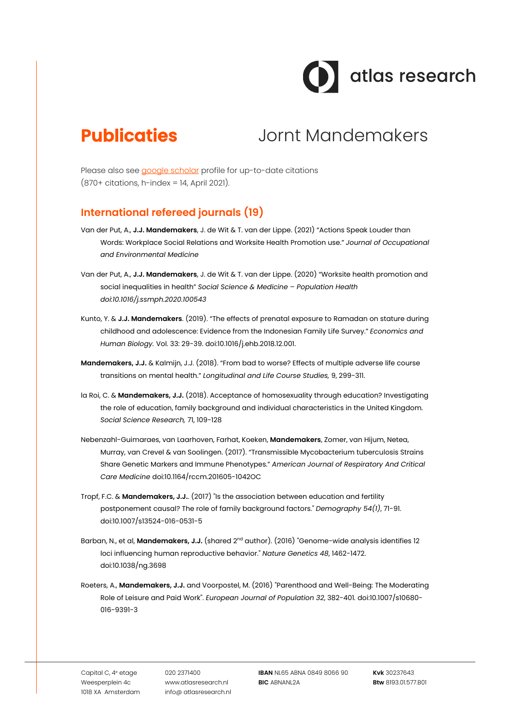

# **Publicaties** Jornt Mandemakers

Please also see google scholar profile for up-to-date citations (870+ citations, h-index = 14, April 2021).

### **International refereed journals (19)**

- Van der Put, A., **J.J. Mandemakers**, J. de Wit & T. van der Lippe. (2021) "Actions Speak Louder than Words: Workplace Social Relations and Worksite Health Promotion use." *Journal of Occupational and Environmental Medicine*
- Van der Put, A., **J.J. Mandemakers**, J. de Wit & T. van der Lippe. (2020) "Worksite health promotion and social inequalities in health" *Social Science & Medicine – Population Health doi:10.1016/j.ssmph.2020.100543*
- Kunto, Y. & **J.J. Mandemakers**. (2019). "The effects of prenatal exposure to Ramadan on stature during childhood and adolescence: Evidence from the Indonesian Family Life Survey." *Economics and Human Biology.* Vol. 33: 29-39. doi:10.1016/j.ehb.2018.12.001.
- **Mandemakers, J.J.** & Kalmijn, J.J. (2018). "From bad to worse? Effects of multiple adverse life course transitions on mental health." *Longitudinal and Life Course Studies,* 9, 299-311.
- la Roi, C. & **Mandemakers, J.J.** (2018). Acceptance of homosexuality through education? Investigating the role of education, family background and individual characteristics in the United Kingdom. *Social Science Research,* 71, 109-128
- Nebenzahl-Guimaraes, van Laarhoven, Farhat, Koeken, **Mandemakers**, Zomer, van Hijum, Netea, Murray, van Crevel & van Soolingen. (2017). "Transmissible Mycobacterium tuberculosis Strains Share Genetic Markers and Immune Phenotypes." *American Journal of Respiratory And Critical Care Medicine* doi:10.1164/rccm.201605-1042OC
- Tropf, F.C. & **Mandemakers, J.J.**. (2017) "Is the association between education and fertility postponement causal? The role of family background factors." *Demography 54(1)*, 71-91. doi:10.1007/s13524-016-0531-5
- Barban, N., et al, **Mandemakers, J.J.** (shared 2<sup>nd</sup> author). (2016) "Genome-wide analysis identifies 12 loci influencing human reproductive behavior." *Nature Genetics 48*, 1462-1472. doi:10.1038/ng.3698
- Roeters, A., **Mandemakers, J.J.** and Voorpostel, M. (2016) "Parenthood and Well-Being: The Moderating Role of Leisure and Paid Work". *European Journal of Population 32*, 382-401*.* doi:10.1007/s10680- 016-9391-3

Capital C, 4e etage Weesperplein 4c 1018 XA Amsterdam 020 2371400 www.atlasresearch.nl info@ atlasresearch.nl **IBAN** NL65 ABNA 0849 8066 90 **BIC** ABNANL2A

**Kvk** 30237643 **Btw** 8193.01.577.B01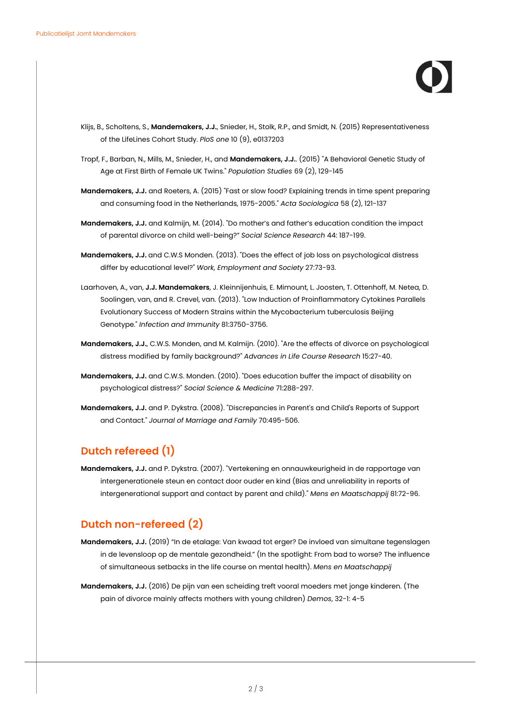- Klijs, B., Scholtens, S., **Mandemakers, J.J.**, Snieder, H., Stolk, R.P., and Smidt, N. (2015) Representativeness of the LifeLines Cohort Study. *PloS one* 10 (9), e0137203
- Tropf, F., Barban, N., Mills, M., Snieder, H., and **Mandemakers, J.J.**. (2015) "A Behavioral Genetic Study of Age at First Birth of Female UK Twins." *Population Studies* 69 (2), 129-145
- **Mandemakers, J.J.** and Roeters, A. (2015) "Fast or slow food? Explaining trends in time spent preparing and consuming food in the Netherlands, 1975-2005." *Acta Sociologica* 58 (2), 121-137
- **Mandemakers, J.J.** and Kalmijn, M. (2014). "Do mother's and father's education condition the impact of parental divorce on child well-being?" *Social Science Research* 44: 187-199.
- **Mandemakers, J.J.** and C.W.S Monden. (2013). "Does the effect of job loss on psychological distress differ by educational level?" *Work, Employment and Society* 27:73-93.
- Laarhoven, A., van, **J.J. Mandemakers**, J. Kleinnijenhuis, E. Mimount, L. Joosten, T. Ottenhoff, M. Netea, D. Soolingen, van, and R. Crevel, van. (2013). "Low Induction of Proinflammatory Cytokines Parallels Evolutionary Success of Modern Strains within the Mycobacterium tuberculosis Beijing Genotype." *Infection and Immunity* 81:3750-3756.
- **Mandemakers, J.J.**, C.W.S. Monden, and M. Kalmijn. (2010). "Are the effects of divorce on psychological distress modified by family background?" *Advances in Life Course Research* 15:27-40.
- **Mandemakers, J.J.** and C.W.S. Monden. (2010). "Does education buffer the impact of disability on psychological distress?" *Social Science & Medicine* 71:288-297.
- **Mandemakers, J.J.** and P. Dykstra. (2008). "Discrepancies in Parent's and Child's Reports of Support and Contact." *Journal of Marriage and Family* 70:495-506.

### **Dutch refereed (1)**

**Mandemakers, J.J.** and P. Dykstra. (2007). "Vertekening en onnauwkeurigheid in de rapportage van intergenerationele steun en contact door ouder en kind (Bias and unreliability in reports of intergenerational support and contact by parent and child)." *Mens en Maatschappij* 81:72-96.

### **Dutch non-refereed (2)**

- **Mandemakers, J.J.** (2019) "In de etalage: Van kwaad tot erger? De invloed van simultane tegenslagen in de levensloop op de mentale gezondheid." (In the spotlight: From bad to worse? The influence of simultaneous setbacks in the life course on mental health). *Mens en Maatschappij*
- **Mandemakers, J.J.** (2016) De pijn van een scheiding treft vooral moeders met jonge kinderen. (The pain of divorce mainly affects mothers with young children) *Demos*, 32-1: 4-5